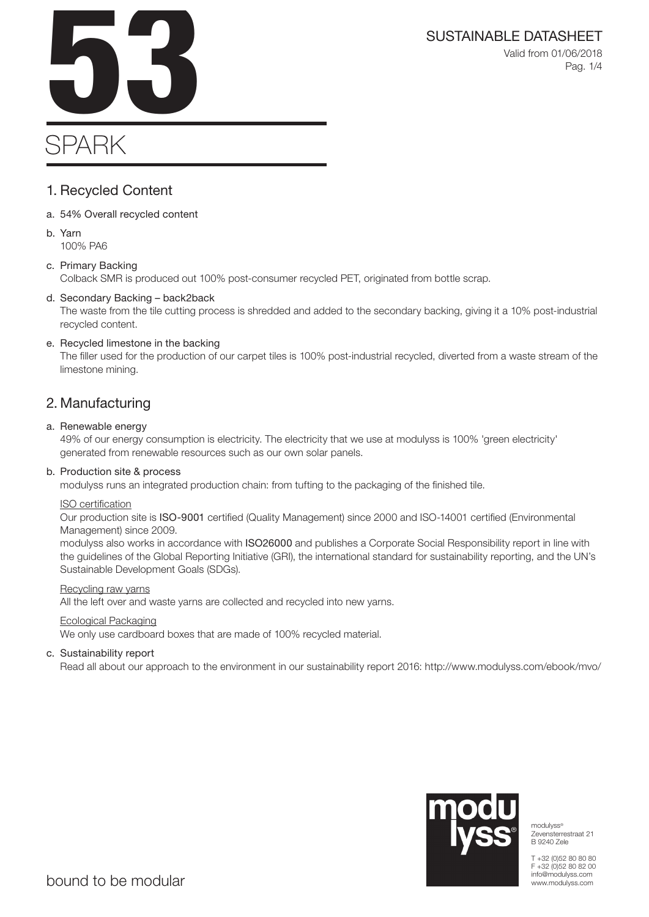Valid from 01/06/2018 Pag. 1/4

# SPARK

## 1. Recycled Content

- a. 54% Overall recycled content
- b. Yarn 100% PA6

## c. Primary Backing

Colback SMR is produced out 100% post-consumer recycled PET, originated from bottle scrap.

## d. Secondary Backing – back2back

The waste from the tile cutting process is shredded and added to the secondary backing, giving it a 10% post-industrial recycled content.

## e. Recycled limestone in the backing

The filler used for the production of our carpet tiles is 100% post-industrial recycled, diverted from a waste stream of the limestone mining.

## 2. Manufacturing

## a. Renewable energy

49% of our energy consumption is electricity. The electricity that we use at modulyss is 100% 'green electricity' generated from renewable resources such as our own solar panels.

## b. Production site & process

modulyss runs an integrated production chain: from tufting to the packaging of the finished tile.

## ISO certification

Our production site is ISO-9001 certified (Quality Management) since 2000 and ISO-14001 certified (Environmental Management) since 2009.

modulyss also works in accordance with ISO26000 and publishes a Corporate Social Responsibility report in line with the guidelines of the Global Reporting Initiative (GRI), the international standard for sustainability reporting, and the UN's Sustainable Development Goals (SDGs).

## Recycling raw yarns

All the left over and waste yarns are collected and recycled into new yarns.

## Ecological Packaging

We only use cardboard boxes that are made of 100% recycled material.

## c. Sustainability report

Read all about our approach to the environment in our sustainability report 2016: http://www.modulyss.com/ebook/mvo/



modulyss® Zevensterrestraat 21 B 9240 Zele

T +32 (0)52 80 80 80 F +32 (0)52 80 82 00 info@modulyss.com www.modulyss.com

SUSTAINABLE DATASHEET<br>Valid from 01/06/2018<br>Pag. 1/4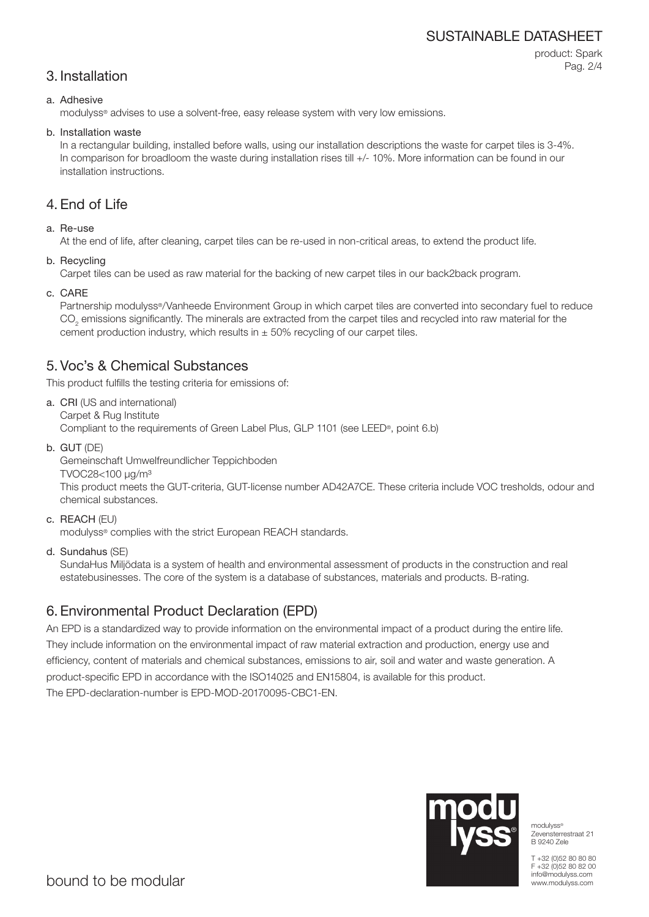## SUSTAINABLE DATASHEET

## 3. Installation

product: Spark Pag. 2/4

## a. Adhesive

modulyss® advises to use a solvent-free, easy release system with very low emissions.

#### b. Installation waste

In a rectangular building, installed before walls, using our installation descriptions the waste for carpet tiles is 3-4%. In comparison for broadloom the waste during installation rises till  $+/-10\%$ . More information can be found in our installation instructions.

## 4. End of Life

## a. Re-use

At the end of life, after cleaning, carpet tiles can be re-used in non-critical areas, to extend the product life.

b. Recycling

Carpet tiles can be used as raw material for the backing of new carpet tiles in our back2back program.

c. CARE

Partnership modulyss®/Vanheede Environment Group in which carpet tiles are converted into secondary fuel to reduce  $\mathrm{CO}_2$  emissions significantly. The minerals are extracted from the carpet tiles and recycled into raw material for the cement production industry, which results in  $\pm$  50% recycling of our carpet tiles.

## 5. Voc's & Chemical Substances

This product fulfills the testing criteria for emissions of:

- a. CRI (US and international) Carpet & Rug Institute Compliant to the requirements of Green Label Plus, GLP 1101 (see LEED®, point 6.b)
- b. GUT (DE)

Gemeinschaft Umwelfreundlicher Teppichboden

TVOC28<100 μg/m³

This product meets the GUT-criteria, GUT-license number AD42A7CE. These criteria include VOC tresholds, odour and chemical substances.

c. REACH (EU)

modulyss® complies with the strict European REACH standards.

d. Sundahus (SE)

SundaHus Miljödata is a system of health and environmental assessment of products in the construction and real estatebusinesses. The core of the system is a database of substances, materials and products. B-rating.

## 6. Environmental Product Declaration (EPD)

An EPD is a standardized way to provide information on the environmental impact of a product during the entire life. They include information on the environmental impact of raw material extraction and production, energy use and efficiency, content of materials and chemical substances, emissions to air, soil and water and waste generation. A product-specific EPD in accordance with the ISO14025 and EN15804, is available for this product. The EPD-declaration-number is EPD-MOD-20170095-CBC1-EN.



modulyss® Zevensterrestraat 21 B 9240 Zele

T +32 (0)52 80 80 80 F +32 (0)52 80 82 00 info@modulyss.com www.modulyss.com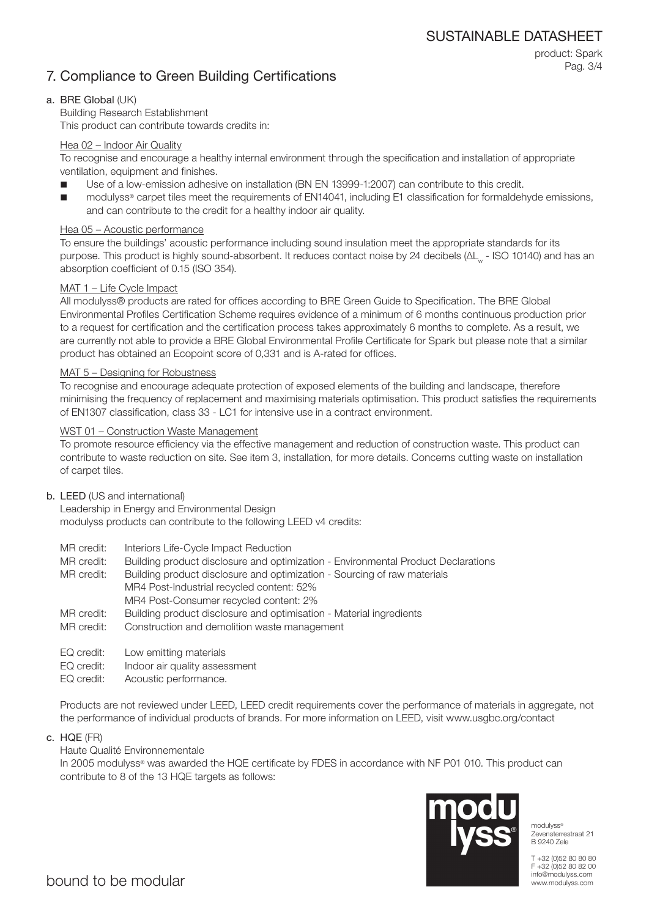## 7. Compliance to Green Building Certifications

product: Spark Pag. 3/4

## a. BRE Global (UK)

Building Research Establishment This product can contribute towards credits in:

#### Hea 02 – Indoor Air Quality

To recognise and encourage a healthy internal environment through the specification and installation of appropriate ventilation, equipment and finishes.

- Use of a low-emission adhesive on installation (BN EN 13999-1:2007) can contribute to this credit.
- modulyss® carpet tiles meet the requirements of EN14041, including E1 classification for formaldehyde emissions, and can contribute to the credit for a healthy indoor air quality.

#### Hea 05 – Acoustic performance

To ensure the buildings' acoustic performance including sound insulation meet the appropriate standards for its purpose. This product is highly sound-absorbent. It reduces contact noise by 24 decibels (ΔL<sub>w</sub> - ISO 10140) and has an absorption coefficient of 0.15 (ISO 354).

#### MAT 1 – Life Cycle Impact

All modulyss® products are rated for offices according to BRE Green Guide to Specification. The BRE Global Environmental Profiles Certification Scheme requires evidence of a minimum of 6 months continuous production prior to a request for certification and the certification process takes approximately 6 months to complete. As a result, we are currently not able to provide a BRE Global Environmental Profile Certificate for Spark but please note that a similar product has obtained an Ecopoint score of 0,331 and is A-rated for offices.

#### MAT 5 – Designing for Robustness

To recognise and encourage adequate protection of exposed elements of the building and landscape, therefore minimising the frequency of replacement and maximising materials optimisation. This product satisfies the requirements of EN1307 classification, class 33 - LC1 for intensive use in a contract environment.

#### WST 01 – Construction Waste Management

To promote resource efficiency via the effective management and reduction of construction waste. This product can contribute to waste reduction on site. See item 3, installation, for more details. Concerns cutting waste on installation of carpet tiles.

#### b. LEED (US and international)

Leadership in Energy and Environmental Design modulyss products can contribute to the following LEED v4 credits:

- MR credit: Interiors Life-Cycle Impact Reduction
- MR credit: Building product disclosure and optimization Environmental Product Declarations

MR credit: Building product disclosure and optimization - Sourcing of raw materials MR4 Post-Industrial recycled content: 52% MR4 Post-Consumer recycled content: 2%

- MR credit: Building product disclosure and optimisation Material ingredients
- MR credit: Construction and demolition waste management
- EQ credit: Low emitting materials
- EQ credit: Indoor air quality assessment
- EQ credit: Acoustic performance.

Products are not reviewed under LEED, LEED credit requirements cover the performance of materials in aggregate, not the performance of individual products of brands. For more information on LEED, visit www.usgbc.org/contact

c. HQE (FR)

## Haute Qualité Environnementale

In 2005 modulyss® was awarded the HQE certificate by FDES in accordance with NF P01 010. This product can contribute to 8 of the 13 HQE targets as follows:



modulyss<sup>®</sup> Zevensterrestraat 21 B 9240 Zele

T +32 (0)52 80 80 80 F +32 (0)52 80 82 00 info@modulyss.com www.modulyss.com